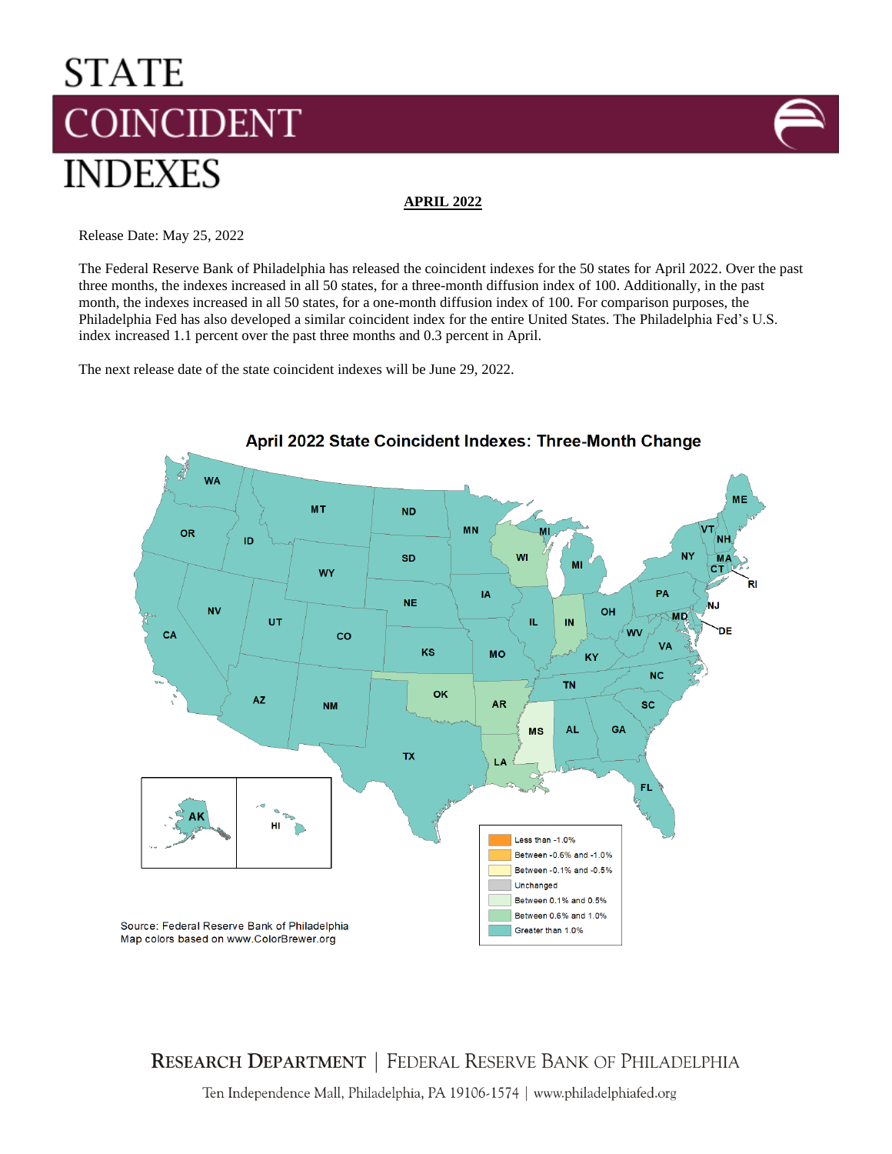# **STATE COINCIDENT INDEXES**



**APRIL 2022**

Release Date: May 25, 2022

The Federal Reserve Bank of Philadelphia has released the coincident indexes for the 50 states for April 2022. Over the past three months, the indexes increased in all 50 states, for a three-month diffusion index of 100. Additionally, in the past month, the indexes increased in all 50 states, for a one-month diffusion index of 100. For comparison purposes, the Philadelphia Fed has also developed a similar coincident index for the entire United States. The Philadelphia Fed's U.S. index increased 1.1 percent over the past three months and 0.3 percent in April.

The next release date of the state coincident indexes will be June 29, 2022.



April 2022 State Coincident Indexes: Three-Month Change

**RESEARCH DEPARTMENT | FEDERAL RESERVE BANK OF PHILADELPHIA** 

Ten Independence Mall, Philadelphia, PA 19106-1574 | www.philadelphiafed.org